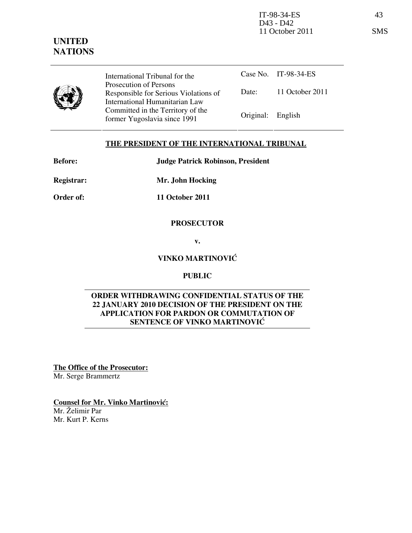International Tribunal for the Prosecution of Persons Responsible for Serious Violations of International Humanitarian Law Committed in the Territory of the Former Yugoslavia since 1991 Original: English

Case No. IT-98-34-ES Date: 11 October 2011

# THE PRESIDENT OF THE INTERNATIONAL TRIBUNAL

Before: Judge Patrick Robinson, President

Registrar: Mr. John Hocking

Order of: 11 October 2011

### PROSECUTOR

v.

## VINKO MARTINOVIĆ

### PUBLIC

### ORDER WITHDRAWING CONFIDENTIAL STATUS OF THE 22 JANUARY 2010 DECISION OF THE PRESIDENT ON THE APPLICATION FOR PARDON OR COMMUTATION OF SENTENCE OF VINKO MARTINOVIĆ

The Office of the Prosecutor: Mr. Serge Brammertz

Counsel for Mr. Vinko Martinović: Mr. Želimir Par Mr. Kurt P. Kerns